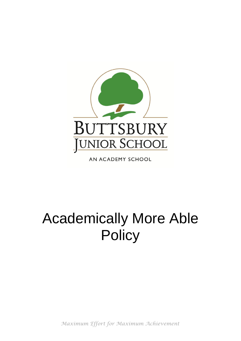

AN ACADEMY SCHOOL

# Academically More Able **Policy**

*Maximum Effort for Maximum Achievement*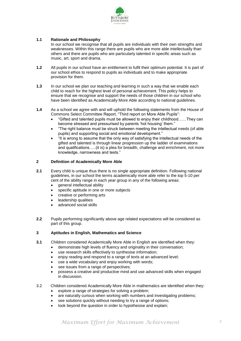

## **1.1 Rationale and Philosophy**

In our school we recognise that all pupils are individuals with their own strengths and weaknesses. Within this range there are pupils who are more able intellectually than others and there are pupils who are particularly talented in specific areas such as music, art, sport and drama.

- **1.2** All pupils in our school have an entitlement to fulfil their optimum potential. It is part of our school ethos to respond to pupils as individuals and to make appropriate provision for them.
- **1.3** In our school we plan our teaching and learning in such a way that we enable each child to reach for the highest level of personal achievement. This policy helps to ensure that we recognise and support the needs of those children in our school who have been identified as Academically More Able according to national guidelines.
- **1.4** As a school we agree with and will uphold the following statements from the House of Commons Select Committee Report, "Third report on More Able Pupils":
	- "Gifted and talented pupils must be allowed to enjoy their childhood……They can become stressed and pressurised by parents 'hot housing' them."
	- "The right balance must be struck between meeting the intellectual needs (of able pupils) and supporting social and emotional development."
	- "It is wrong to assume that the only way of satisfying the intellectual needs of the gifted and talented is through linear progression up the ladder of examinations and qualifications…..(it is) a plea for breadth, challenge and enrichment, not more knowledge, narrowness and tests."

#### **2 Definition of Academically More Able**

- **2.1** Every child is unique thus there is no single appropriate definition. Following national guidelines, in our school the terms academically more able refer to the top 5-10 per cent of the ability range in each year group in any of the following areas:
	- $\bullet$  aeneral intellectual ability
	- specific aptitude in one or more subjects
	- creative or performing arts
	- leadership qualities
	- advanced social skills
- **2.2** Pupils performing significantly above age related expectations will be considered as part of this group.

## **3 Aptitudes in English, Mathematics and Science**

- **3.1** Children considered Academically More Able in English are identified when they:
	- demonstrate high levels of fluency and originality in their conversation;
		- use research skills effectively to synthesise information;
	- enjoy reading and respond to a range of texts at an advanced level;
	- use a wide vocabulary and enjoy working with words;
	- see issues from a range of perspectives;
	- possess a creative and productive mind and use advanced skills when engaged in discussion.
- 3.2 Children considered Academically More Able in mathematics are identified when they:
	- explore a range of strategies for solving a problem;
	- are naturally curious when working with numbers and investigating problems;
	- see solutions quickly without needing to try a range of options;
	- look beyond the question in order to hypothesise and explain;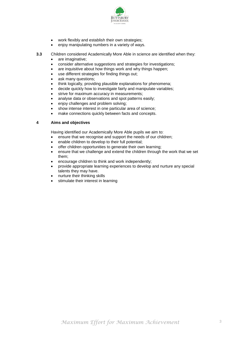

- work flexibly and establish their own strategies;
- enjoy manipulating numbers in a variety of ways.
- **3.3** Children considered Academically More Able in science are identified when they:
	- are imaginative;
	- consider alternative suggestions and strategies for investigations;
	- are inquisitive about how things work and why things happen;
	- use different strategies for finding things out;
	- ask many questions;
	- think logically, providing plausible explanations for phenomena;
	- decide quickly how to investigate fairly and manipulate variables;
	- strive for maximum accuracy in measurements;
	- analyse data or observations and spot patterns easily;
	- enjoy challenges and problem solving;
	- show intense interest in one particular area of science;
	- make connections quickly between facts and concepts.

## **4 Aims and objectives**

Having identified our Academically More Able pupils we aim to:

- ensure that we recognise and support the needs of our children;
- enable children to develop to their full potential;
- offer children opportunities to generate their own learning;
- ensure that we challenge and extend the children through the work that we set them;
- encourage children to think and work independently;
- provide appropriate learning experiences to develop and nurture any special talents they may have.
- nurture their thinking skills
- stimulate their interest in learning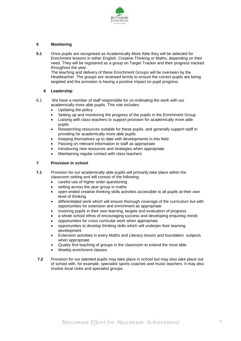

## **5 Monitoring**

**5.1** Once pupils are recognised as Academically More Able they will be selected for Enrichment lessons in either English, Creative Thinking or Maths, depending on their need. They will be registered as a group on Target Tracker and their progress tracked throughout the year.

 The teaching and delivery of these Enrichment Groups will be overseen by the Headteacher. The groups are reviewed termly to ensure the correct pupils are being targeted and the provision is having a positive impact on pupil progress.

## **6 Leadership**

- 6.1 We have a member of staff responsible for co-ordinating the work with our academically more able pupils. This role includes:
	- Updating the policy
	- Setting up and monitoring the progress of the pupils in the Enrichment Group
	- Liaising with class teachers to support provision for academically more able pupils
	- Researching resources suitable for these pupils, and generally support staff in providing for academically more able pupils
	- Keeping themselves up to date with developments in this field.
	- Passing on relevant information to staff as appropriate
	- Introducing new resources and strategies when appropriate
	- Maintaining regular contact with class teachers

## **7 Provision in school**

- **7.1** Provision for our academically able pupils will primarily take place within the classroom setting and will consist of the following:
	- careful use of higher order questioning
	- setting across the year group in maths
	- open-ended creative thinking skills activities accessible to all pupils at their own level of thinking
	- differentiated work which will ensure thorough coverage of the curriculum but with opportunities for extension and enrichment as appropriate
	- involving pupils in their own learning, targets and evaluation of progress
	- a whole school ethos of encouraging success and developing enquiring minds
	- opportunities for cross curricular work when appropriate
	- opportunities to develop thinking skills which will underpin their learning development
	- Extension activities in every Maths and Literacy lesson and foundation subjects when appropriate
	- Quality first teaching of groups in the classroom to extend the most able.
	- Weekly enrichment classes
- **7.2** Provision for our talented pupils may take place in school but may also take place out of school with, for example, specialist sports coaches and music teachers. It may also involve local clubs and specialist groups.